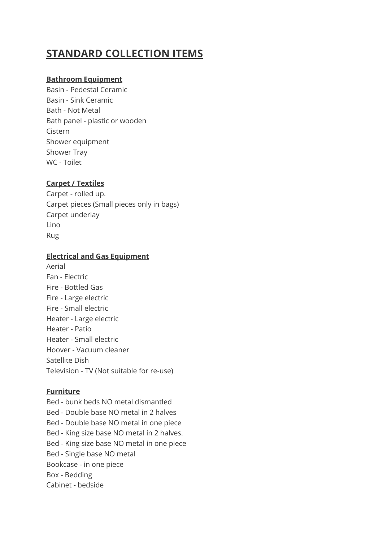# **STANDARD COLLECTION ITEMS**

# **Bathroom Equipment**

Basin - Pedestal Ceramic Basin - Sink Ceramic Bath - Not Metal Bath panel - plastic or wooden Cistern Shower equipment Shower Tray WC - Toilet

# **Carpet / Textiles**

Carpet - rolled up. Carpet pieces (Small pieces only in bags) Carpet underlay Lino Rug

# **Electrical and Gas Equipment**

Aerial Fan - Electric Fire - Bottled Gas Fire - Large electric Fire - Small electric Heater - Large electric Heater - Patio Heater - Small electric Hoover - Vacuum cleaner Satellite Dish Television - TV (Not suitable for re-use)

### **Furniture**

Bed - bunk beds NO metal dismantled Bed - Double base NO metal in 2 halves Bed - Double base NO metal in one piece Bed - King size base NO metal in 2 halves. Bed - King size base NO metal in one piece Bed - Single base NO metal Bookcase - in one piece Box - Bedding Cabinet - bedside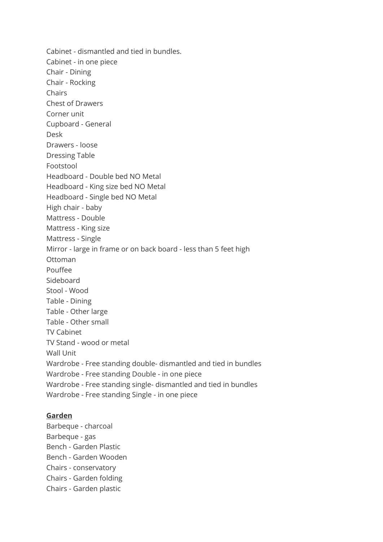Cabinet - dismantled and tied in bundles. Cabinet - in one piece Chair - Dining Chair - Rocking Chairs Chest of Drawers Corner unit Cupboard - General Desk Drawers - loose Dressing Table Footstool Headboard - Double bed NO Metal Headboard - King size bed NO Metal Headboard - Single bed NO Metal High chair - baby Mattress - Double Mattress - King size Mattress - Single Mirror - large in frame or on back board - less than 5 feet high Ottoman Pouffee Sideboard Stool - Wood Table - Dining Table - Other large Table - Other small TV Cabinet TV Stand - wood or metal Wall Unit Wardrobe - Free standing double- dismantled and tied in bundles Wardrobe - Free standing Double - in one piece Wardrobe - Free standing single- dismantled and tied in bundles Wardrobe - Free standing Single - in one piece

#### **Garden**

Barbeque - charcoal Barbeque - gas Bench - Garden Plastic Bench - Garden Wooden Chairs - conservatory Chairs - Garden folding Chairs - Garden plastic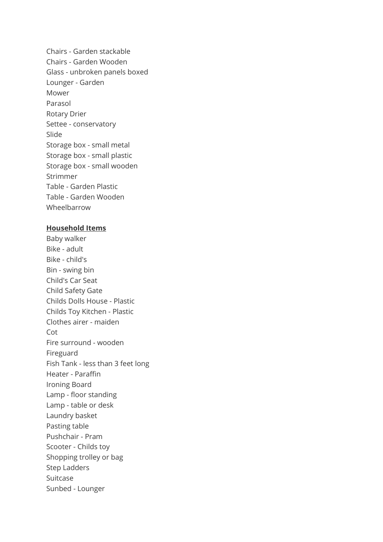Chairs - Garden stackable Chairs - Garden Wooden Glass - unbroken panels boxed Lounger - Garden Mower Parasol Rotary Drier Settee - conservatory Slide Storage box - small metal Storage box - small plastic Storage box - small wooden Strimmer Table - Garden Plastic Table - Garden Wooden Wheelbarrow

#### **Household Items**

Baby walker Bike - adult Bike - child's Bin - swing bin Child's Car Seat Child Safety Gate Childs Dolls House - Plastic Childs Toy Kitchen - Plastic Clothes airer - maiden Cot Fire surround - wooden Fireguard Fish Tank - less than 3 feet long Heater - Paraffin Ironing Board Lamp - floor standing Lamp - table or desk Laundry basket Pasting table Pushchair - Pram Scooter - Childs toy Shopping trolley or bag Step Ladders Suitcase Sunbed - Lounger